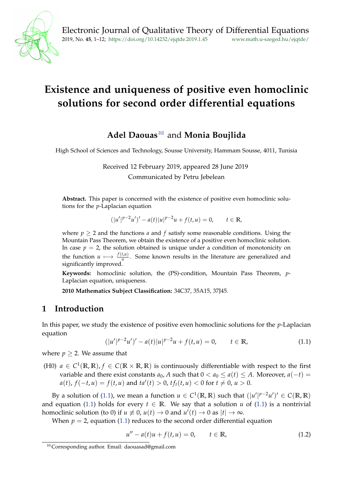

# **Existence and uniqueness of positive even homoclinic solutions for second order differential equations**

## Adel Daouas<sup>⊠</sup> and Monia [B](#page-0-0)oujlida

High School of Sciences and Technology, Sousse University, Hammam Sousse, 4011, Tunisia

Received 12 February 2019, appeared 28 June 2019 Communicated by Petru Jebelean

**Abstract.** This paper is concerned with the existence of positive even homoclinic solutions for the *p*-Laplacian equation

$$
(|u'|^{p-2}u')' - a(t)|u|^{p-2}u + f(t,u) = 0, \qquad t \in \mathbb{R},
$$

where  $p \geq 2$  and the functions *a* and *f* satisfy some reasonable conditions. Using the Mountain Pass Theorem, we obtain the existence of a positive even homoclinic solution. In case  $p = 2$ , the solution obtained is unique under a condition of monotonicity on the function  $u \mapsto \frac{f(t,u)}{u}$ . Some known results in the literature are generalized and significantly improved.

**Keywords:** homoclinic solution, the (PS)-condition, Mountain Pass Theorem, *p*-Laplacian equation, uniqueness.

**2010 Mathematics Subject Classification:** 34C37, 35A15, 37J45.

### **1 Introduction**

In this paper, we study the existence of positive even homoclinic solutions for the *p*-Laplacian equation

<span id="page-0-1"></span>
$$
(|u'|^{p-2}u')' - a(t)|u|^{p-2}u + f(t,u) = 0, \qquad t \in \mathbb{R},
$$
\n(1.1)

where  $p > 2$ . We assume that

(H0)  $a \in C^1(\mathbb{R}, \mathbb{R})$ ,  $f \in C(\mathbb{R} \times \mathbb{R}, \mathbb{R})$  is continuously differentiable with respect to the first variable and there exist constants  $a_0$ , *A* such that  $0 < a_0 \le a(t) \le A$ . Moreover,  $a(-t) =$  $a(t)$ ,  $f(-t, u) = f(t, u)$  and  $ta'(t) > 0$ ,  $tf_t(t, u) < 0$  for  $t \neq 0$ ,  $u > 0$ .

By a solution of [\(1.1\)](#page-0-1), we mean a function  $u \in C^1(\mathbb{R}, \mathbb{R})$  such that  $(|u'|^{p-2}u')' \in C(\mathbb{R}, \mathbb{R})$ and equation [\(1.1\)](#page-0-1) holds for every  $t \in \mathbb{R}$ . We say that a solution *u* of (1.1) is a nontrivial homoclinic solution (to 0) if  $u \not\equiv 0$ ,  $u(t) \rightarrow 0$  and  $u'(t) \rightarrow 0$  as  $|t| \rightarrow \infty$ .

When  $p = 2$ , equation [\(1.1\)](#page-0-1) reduces to the second order differential equation

<span id="page-0-2"></span>
$$
u'' - a(t)u + f(t, u) = 0, \t t \in \mathbb{R}, \t (1.2)
$$

<span id="page-0-0"></span> $B \cong$  Corresponding author. Email: daouasad@gmail.com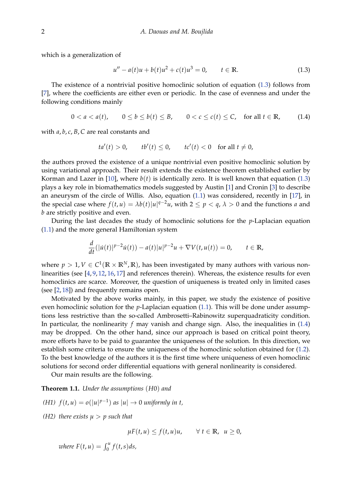which is a generalization of

<span id="page-1-0"></span>
$$
u'' - a(t)u + b(t)u^{2} + c(t)u^{3} = 0, \t t \in \mathbb{R}.
$$
 (1.3)

The existence of a nontrivial positive homoclinic solution of equation [\(1.3\)](#page-1-0) follows from [\[7\]](#page-10-0), where the coefficients are either even or periodic. In the case of evenness and under the following conditions mainly

<span id="page-1-1"></span>
$$
0 < a < a(t), \qquad 0 \le b \le b(t) \le B, \qquad 0 < c \le c(t) \le C, \quad \text{for all } t \in \mathbb{R}, \tag{1.4}
$$

with *a*, *b*, *c*, *B*, *C* are real constants and

$$
ta'(t) > 0, \qquad tb'(t) \le 0, \qquad tc'(t) < 0 \quad \text{for all } t \ne 0,
$$

the authors proved the existence of a unique nontrivial even positive homoclinic solution by using variational approach. Their result extends the existence theorem established earlier by Korman and Lazer in [\[10\]](#page-10-1), where  $b(t)$  is identically zero. It is well known that equation [\(1.3\)](#page-1-0) plays a key role in biomathematics models suggested by Austin [\[1\]](#page-9-0) and Cronin [\[3\]](#page-10-2) to describe an aneurysm of the circle of Willis. Also, equation [\(1.1\)](#page-0-1) was considered, recently in [\[17\]](#page-11-0), in the special case where  $f(t, u) = \lambda b(t)|u|^{q-2}u$ , with  $2 \le p < q$ ,  $\lambda > 0$  and the functions *a* and *b* are strictly positive and even.

During the last decades the study of homoclinic solutions for the *p*-Laplacian equation [\(1.1\)](#page-0-1) and the more general Hamiltonian system

$$
\frac{d}{dt}(|\dot{u}(t)|^{p-2}\dot{u}(t)) - a(t)|u|^{p-2}u + \nabla V(t, u(t)) = 0, \qquad t \in \mathbb{R},
$$

where  $p > 1$ ,  $V \in C^1(\mathbb{R} \times \mathbb{R}^N, \mathbb{R})$ , has been investigated by many authors with various nonlinearities (see [\[4,](#page-10-3) [9,](#page-10-4) [12,](#page-10-5) [16,](#page-10-6) [17\]](#page-11-0) and references therein). Whereas, the existence results for even homoclinics are scarce. Moreover, the question of uniqueness is treated only in limited cases (see [\[2,](#page-9-1) [18\]](#page-11-1)) and frequently remains open.

Motivated by the above works mainly, in this paper, we study the existence of positive even homoclinic solution for the *p*-Laplacian equation [\(1.1\)](#page-0-1). This will be done under assumptions less restrictive than the so-called Ambrosetti–Rabinowitz superquadraticity condition. In particular, the nonlinearity *f* may vanish and change sign. Also, the inequalities in [\(1.4\)](#page-1-1) may be dropped. On the other hand, since our approach is based on critical point theory, more efforts have to be paid to guarantee the uniqueness of the solution. In this direction, we establish some criteria to ensure the uniqueness of the homoclinic solution obtained for [\(1.2\)](#page-0-2). To the best knowledge of the authors it is the first time where uniqueness of even homoclinic solutions for second order differential equations with general nonlinearity is considered.

Our main results are the following.

<span id="page-1-2"></span>**Theorem 1.1.** *Under the assumptions* (*H*0) *and*

- *(H1)*  $f(t, u) = o(|u|^{p-1})$  *as*  $|u| \rightarrow 0$  *uniformly in t,*
- *(H2) there exists*  $\mu > p$  *such that*

 $\mu F(t, u) \leq f(t, u)u, \quad \forall t \in \mathbb{R}, \ u \geq 0,$ 

 $where F(t, u) = \int_0^u f(t, s) ds,$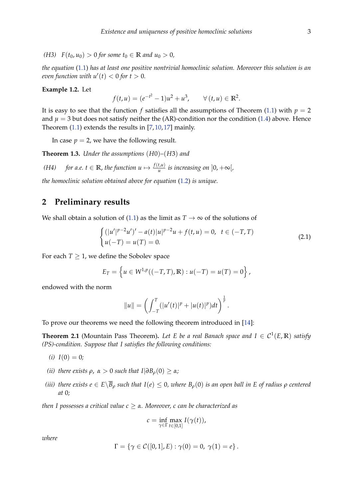*(H3)*  $F(t_0, u_0) > 0$  *for some*  $t_0 \in \mathbb{R}$  *and*  $u_0 > 0$ *,* 

*the equation* [\(1.1\)](#page-0-1) *has at least one positive nontrivial homoclinic solution. Moreover this solution is an even function with*  $u'(t) < 0$  *for*  $t > 0$ *.* 

#### **Example 1.2.** Let

$$
f(t, u) = (e^{-t^2} - 1)u^2 + u^3, \qquad \forall (t, u) \in \mathbb{R}^2.
$$

It is easy to see that the function *f* satisfies all the assumptions of Theorem [\(1.1\)](#page-1-2) with  $p = 2$ and  $\mu = 3$  but does not satisfy neither the (AR)-condition nor the condition [\(1.4\)](#page-1-1) above. Hence Theorem [\(1.1\)](#page-1-2) extends the results in [\[7,](#page-10-0) [10,](#page-10-1) [17\]](#page-11-0) mainly.

In case  $p = 2$ , we have the following result.

<span id="page-2-1"></span>**Theorem 1.3.** *Under the assumptions* (*H*0)*–*(*H*3) *and*

*(H4) for a.e.*  $t \in \mathbb{R}$ , *the function*  $u \mapsto \frac{f(t,u)}{u}$  *is increasing on*  $]0, +\infty[$ ,

*the homoclinic solution obtained above for equation* [\(1.2\)](#page-0-2) *is unique.*

#### **2 Preliminary results**

We shall obtain a solution of [\(1.1\)](#page-0-1) as the limit as  $T \to \infty$  of the solutions of

<span id="page-2-0"></span>
$$
\begin{cases} (|u'|^{p-2}u')' - a(t)|u|^{p-2}u + f(t,u) = 0, & t \in (-T,T) \\ u(-T) = u(T) = 0. \end{cases}
$$
\n(2.1)

For each  $T \geq 1$ , we define the Sobolev space

$$
E_T = \left\{ u \in W^{1,p}((-T,T), \mathbb{R}) : u(-T) = u(T) = 0 \right\},\,
$$

endowed with the norm

$$
||u|| = \left(\int_{-T}^{T} (|u'(t)|^{p} + |u(t)|^{p}) dt\right)^{\frac{1}{p}}.
$$

To prove our theorems we need the following theorem introduced in [\[14\]](#page-10-7):

**Theorem 2.1** (Mountain Pass Theorem). Let E be a real Banach space and  $I \in C^1(E, \mathbb{R})$  satisfy *(PS)-condition. Suppose that I satisfies the following conditions:*

- $(i) I(0) = 0;$
- *(ii) there exists*  $ρ$ ,  $α$  > 0 *such that*  $I|∂B<sub>ρ</sub>(0) ≥ α$ *;*
- *(iii) there exists*  $e \in E\setminus \overline{B}_\rho$  *<i>such that*  $I(e) \leq 0$ *, where*  $B_\rho(0)$  *is an open ball in* E *of radius*  $\rho$  *centered at* 0*;*

*then I possesses a critical value c* ≥ *α. Moreover, c can be characterized as*

$$
c = \inf_{\gamma \in \Gamma} \max_{t \in [0,1]} I(\gamma(t)),
$$

*where*

$$
\Gamma = \{ \gamma \in C([0,1], E) : \gamma(0) = 0, \ \gamma(1) = e \}.
$$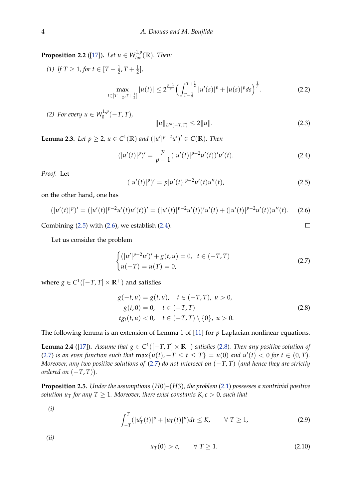<span id="page-3-8"></span>**Proposition 2.2** ([\[17\]](#page-11-0)). *Let*  $u \in W^{1,p}_{loc}(\mathbb{R})$ *. Then:* 

(1) If 
$$
T \ge 1
$$
, for  $t \in [T - \frac{1}{2}, T + \frac{1}{2}]$ ,  
\n
$$
\max_{t \in [T - \frac{1}{2}, T + \frac{1}{2}]} |u(t)| \le 2^{\frac{p-1}{p}} \Big( \int_{T - \frac{1}{2}}^{T + \frac{1}{2}} |u'(s)|^p + |u(s)|^p ds \Big)^{\frac{1}{p}}.
$$
\n(2.2)

*(2) For every*  $u \in W_0^{1,p}$  $T_0^{1,p}(-T,T)$ ,

$$
||u||_{L^{\infty}(-T,T)} \le 2||u||. \tag{2.3}
$$

 $\Box$ 

**Lemma 2.3.** *Let*  $p \ge 2$ ,  $u \in C^1(\mathbb{R})$  and  $(|u'|^{p-2}u')' \in C(\mathbb{R})$ . *Then* 

<span id="page-3-2"></span>
$$
(|u'(t)|^p)' = \frac{p}{p-1} (|u'(t)|^{p-2} u'(t))' u'(t).
$$
\n(2.4)

*Proof.* Let

<span id="page-3-0"></span>
$$
(|u'(t)|^p)' = p|u'(t)|^{p-2}u'(t)u''(t), \qquad (2.5)
$$

on the other hand, one has

<span id="page-3-1"></span>
$$
(|u'(t)|^p)' = (|u'(t)|^{p-2}u'(t)u'(t))' = (|u'(t)|^{p-2}u'(t))'u'(t) + (|u'(t)|^{p-2}u'(t))u''(t).
$$
 (2.6)

Combining  $(2.5)$  with  $(2.6)$ , we establish  $(2.4)$ .

Let us consider the problem

<span id="page-3-4"></span>
$$
\begin{cases} (|u'|^{p-2}u')' + g(t,u) = 0, & t \in (-T,T) \\ u(-T) = u(T) = 0, \end{cases}
$$
\n(2.7)

<span id="page-3-3"></span>where  $g \in C^1([-T, T] \times \mathbb{R}^+)$  and satisfies

$$
g(-t, u) = g(t, u), \quad t \in (-T, T), \quad u > 0,
$$
  
\n
$$
g(t, 0) = 0, \quad t \in (-T, T)
$$
  
\n
$$
tg_t(t, u) < 0, \quad t \in (-T, T) \setminus \{0\}, \quad u > 0.
$$
\n(2.8)

The following lemma is an extension of Lemma 1 of [\[11\]](#page-10-8) for *p*-Laplacian nonlinear equations.

<span id="page-3-5"></span>**Lemma 2.4** ([\[17\]](#page-11-0)). Assume that  $g \in C^1([-T,T] \times \mathbb{R}^+)$  satisfies [\(2.8\)](#page-3-3). Then any positive solution of [\(2.7\)](#page-3-4) *is an even function such that*  $max\{u(t), -T \le t \le T\} = u(0)$  *and*  $u'(t) < 0$  *for*  $t \in (0, T)$ *. Moreover, any two positive solutions of* [\(2.7\)](#page-3-4) *do not intersect on* (−*T*, *T*) *and hence they are strictly ordered on*  $(-T, T)$ ).

<span id="page-3-7"></span>**Proposition 2.5.** *Under the assumptions* (*H*0)*–*(*H*3)*, the problem* [\(2.1\)](#page-2-0) *possesses a nontrivial positive solution u<sub>T</sub>* for any  $T \geq 1$ *. Moreover, there exist constants K, c* > 0*, such that* 

*(i)*

<span id="page-3-6"></span>
$$
\int_{-T}^{T} (|u'_T(t)|^p + |u_T(t)|^p) dt \le K, \qquad \forall T \ge 1,
$$
\n(2.9)

*(ii)*

$$
u_T(0) > c, \qquad \forall \ T \ge 1. \tag{2.10}
$$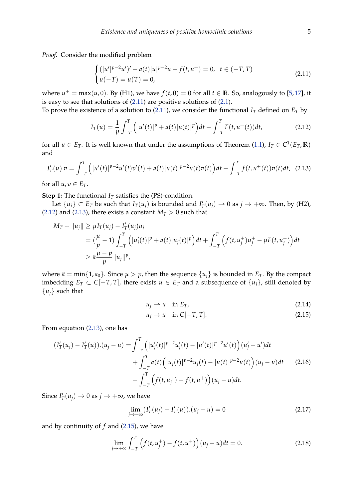*Proof.* Consider the modified problem

<span id="page-4-0"></span>
$$
\begin{cases} (|u'|^{p-2}u')' - a(t)|u|^{p-2}u + f(t, u^{+}) = 0, & t \in (-T, T) \\ u(-T) = u(T) = 0, \end{cases}
$$
\n(2.11)

where  $u^+ = \max(u, 0)$ . By (H1), we have  $f(t, 0) = 0$  for all  $t \in \mathbb{R}$ . So, analogously to [\[5,](#page-10-9)[17\]](#page-11-0), it is easy to see that solutions of [\(2.11\)](#page-4-0) are positive solutions of [\(2.1\)](#page-2-0).

To prove the existence of a solution to [\(2.11\)](#page-4-0), we consider the functional  $I_T$  defined on  $E_T$  by

<span id="page-4-1"></span>
$$
I_T(u) = \frac{1}{p} \int_{-T}^{T} (|u'(t)|^p + a(t)|u(t)|^p) dt - \int_{-T}^{T} F(t, u^+(t)) dt,
$$
 (2.12)

for all  $u \in E_T$ . It is well known that under the assumptions of Theorem [\(1.1\)](#page-1-2),  $I_T \in C^1(E_T, \mathbb{R})$ and

<span id="page-4-2"></span>
$$
I'_T(u).v = \int_{-T}^T \left( |u'(t)|^{p-2} u'(t) v'(t) + a(t) |u(t)|^{p-2} u(t) v(t) \right) dt - \int_{-T}^T f(t, u^+(t)) v(t) dt, \tag{2.13}
$$

for all  $u, v \in E_T$ .

**Step 1:** The functional  $I_T$  satisfies the (PS)-condition.

Let  $\{u_j\} \subset E_T$  be such that  $I_T(u_j)$  is bounded and  $I'_T(u_j) \to 0$  as  $j \to +\infty$ . Then, by (H2), [\(2.12\)](#page-4-1) and [\(2.13\)](#page-4-2), there exists a constant  $M_T > 0$  such that

$$
M_T + ||u_j|| \ge \mu I_T(u_j) - I'_T(u_j)u_j
$$
  
=  $(\frac{\mu}{p} - 1) \int_{-T}^T (|u'_j(t)|^p + a(t)|u_j(t)|^p) dt + \int_{-T}^T (f(t, u_j^+) u_j^+ - \mu F(t, u_j^+)) dt$   
 $\ge \hat{a} \frac{\mu - p}{p} ||u_j||^p,$ 

where  $\hat{a} = \min\{1, a_0\}$ . Since  $\mu > p$ , then the sequence  $\{u_i\}$  is bounded in  $E_T$ . By the compact imbedding  $E_T$  ⊂ *C*[−*T*, *T*], there exists  $u \in E_T$  and a subsequence of  $\{u_i\}$ , still denoted by  $\{u_i\}$  such that

$$
u_j \rightharpoonup u \quad \text{in } E_T,\tag{2.14}
$$

<span id="page-4-3"></span>
$$
u_j \to u \quad \text{in } C[-T, T]. \tag{2.15}
$$

From equation [\(2.13\)](#page-4-2), one has

<span id="page-4-4"></span>
$$
(I'_T(u_j) - I'_T(u)) \cdot (u_j - u) = \int_{-T}^T \left( |u'_j(t)|^{p-2} u'_j(t) - |u'(t)|^{p-2} u'(t) \right) (u'_j - u') dt + \int_{-T}^T a(t) \left( |u_j(t)|^{p-2} u_j(t) - |u(t)|^{p-2} u(t) \right) (u_j - u) dt \qquad (2.16) - \int_{-T}^T \left( f(t, u_j^+) - f(t, u^+) \right) (u_j - u) dt.
$$

Since  $I'_T(u_j) \to 0$  as  $j \to +\infty$ , we have

$$
\lim_{j \to +\infty} (I'_T(u_j) - I'_T(u)) \cdot (u_j - u) = 0 \tag{2.17}
$$

and by continuity of *f* and [\(2.15\)](#page-4-3), we have

<span id="page-4-5"></span>
$$
\lim_{j \to +\infty} \int_{-T}^{T} \left( f(t, u_j^+) - f(t, u^+) \right) (u_j - u) dt = 0.
$$
 (2.18)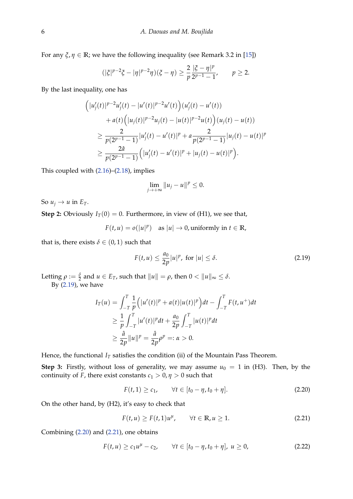For any  $\xi$ ,  $\eta \in \mathbb{R}$ ; we have the following inequality (see Remark 3.2 in [\[15\]](#page-10-10))

$$
(|\xi|^{p-2}\xi - |\eta|^{p-2}\eta)(\xi - \eta) \ge \frac{2}{p} \frac{|\xi - \eta|^p}{2^{p-1} - 1}, \qquad p \ge 2.
$$

By the last inequality, one has

$$
\begin{aligned}\n\left(|u'_{j}(t)|^{p-2}u'_{j}(t)-|u'(t)|^{p-2}u'(t)\right)(u'_{j}(t)-u'(t)) \\
&+a(t)\left(|u_{j}(t)|^{p-2}u_{j}(t)-|u(t)|^{p-2}u(t)\right)(u_{j}(t)-u(t)) \\
&\geq \frac{2}{p(2^{p-1}-1)}|u'_{j}(t)-u'(t)|^{p}+a\frac{2}{p(2^{p-1}-1)}|u_{j}(t)-u(t)|^{p} \\
&\geq \frac{2\hat{a}}{p(2^{p-1}-1)}\left(|u'_{j}(t)-u'(t)|^{p}+|u_{j}(t)-u(t)|^{p}\right).\n\end{aligned}
$$

This coupled with [\(2.16\)](#page-4-4)–[\(2.18\)](#page-4-5), implies

$$
\lim_{j\to+\infty}||u_j-u||^p\leq 0.
$$

So  $u_j \rightarrow u$  in  $E_T$ .

**Step 2:** Obviously  $I_T(0) = 0$ . Furthermore, in view of (H1), we see that,

 $F(t, u) = o(|u|^p)$  as  $|u| \to 0$ , uniformly in  $t \in \mathbb{R}$ ,

that is, there exists  $\delta \in (0,1)$  such that

<span id="page-5-0"></span>
$$
F(t, u) \le \frac{a_0}{2p} |u|^p, \text{ for } |u| \le \delta. \tag{2.19}
$$

Letting  $\rho := \frac{\delta}{2}$  and  $u \in E_T$ , such that  $||u|| = \rho$ , then  $0 < ||u||_{\infty} \le \delta$ .

By [\(2.19\)](#page-5-0), we have

$$
I_T(u) = \int_{-T}^{T} \frac{1}{p} \Big( |u'(t)|^p + a(t) |u(t)|^p \Big) dt - \int_{-T}^{T} F(t, u^+) dt
$$
  
\n
$$
\geq \frac{1}{p} \int_{-T}^{T} |u'(t)|^p dt + \frac{a_0}{2p} \int_{-T}^{T} |u(t)|^p dt
$$
  
\n
$$
\geq \frac{\hat{a}}{2p} ||u||^p = \frac{\hat{a}}{2p} \rho^p =: \alpha > 0.
$$

Hence, the functional  $I_T$  satisfies the condition (ii) of the Mountain Pass Theorem.

**Step 3:** Firstly, without loss of generality, we may assume  $u_0 = 1$  in (H3). Then, by the continuity of *F*, there exist constants  $c_1 > 0$ ,  $\eta > 0$  such that

<span id="page-5-1"></span>
$$
F(t,1) \ge c_1, \qquad \forall t \in [t_0 - \eta, t_0 + \eta]. \tag{2.20}
$$

On the other hand, by (H2), it's easy to check that

<span id="page-5-2"></span>
$$
F(t, u) \ge F(t, 1)u^{\mu}, \qquad \forall t \in \mathbb{R}, u \ge 1.
$$

Combining [\(2.20\)](#page-5-1) and [\(2.21\)](#page-5-2), one obtains

<span id="page-5-3"></span>
$$
F(t, u) \ge c_1 u^{\mu} - c_2, \qquad \forall t \in [t_0 - \eta, t_0 + \eta], \ u \ge 0,
$$
\n
$$
(2.22)
$$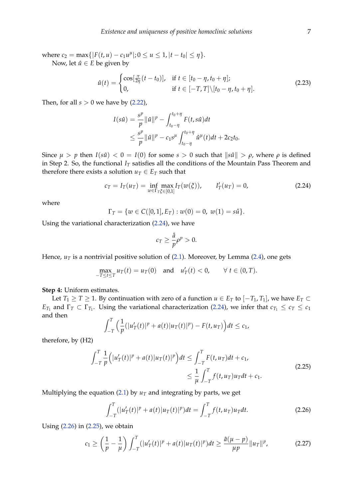$\text{where } c_2 = \max\{|F(t, u) - c_1u^{\mu}|; 0 \le u \le 1, |t - t_0| \le \eta\}.$ 

Now, let  $\hat{u} \in E$  be given by

$$
\hat{u}(t) = \begin{cases}\n\cos[\frac{\pi}{2\eta}(t - t_0)], & \text{if } t \in [t_0 - \eta, t_0 + \eta]; \\
0, & \text{if } t \in [-T, T] \setminus [t_0 - \eta, t_0 + \eta].\n\end{cases}
$$
\n(2.23)

Then, for all  $s > 0$  we have by  $(2.22)$ ,

$$
I(s\hat{u}) = \frac{s^p}{p} ||\hat{u}||^p - \int_{t_0 - \eta}^{t_0 + \eta} F(t, s\hat{u}) dt
$$
  
 
$$
\leq \frac{s^p}{p} ||\hat{u}||^p - c_1 s^{\mu} \int_{t_0 - \eta}^{t_0 + \eta} \hat{u}^{\mu}(t) dt + 2c_2 t_0.
$$

Since  $\mu > p$  then  $I(s\hat{u}) < 0 = I(0)$  for some  $s > 0$  such that  $\|s\hat{u}\| > \rho$ , where  $\rho$  is defined in Step 2. So, the functional  $I_T$  satisfies all the conditions of the Mountain Pass Theorem and therefore there exists a solution  $u_T \in E_T$  such that

<span id="page-6-0"></span>
$$
c_T = I_T(u_T) = \inf_{w \in \Gamma_T \xi \in [0,1]} \max I_T(w(\xi)), \qquad I'_T(u_T) = 0,
$$
\n(2.24)

where

$$
\Gamma_T = \{ w \in C([0,1], E_T) : w(0) = 0, w(1) = s\hat{u} \}.
$$

Using the variational characterization [\(2.24\)](#page-6-0), we have

$$
c_T \geq \frac{\hat{a}}{p} \rho^p > 0.
$$

Hence,  $u<sub>T</sub>$  is a nontrivial positive solution of [\(2.1\)](#page-2-0). Moreover, by Lemma [\(2.4\)](#page-3-5), one gets

$$
\max_{-T\leq t\leq T} u_T(t) = u_T(0) \quad \text{and} \quad u'_T(t) < 0, \qquad \forall \ t \in (0, T).
$$

**Step 4:** Uniform estimates.

Let *T*<sub>1</sub> ≥ *T* ≥ 1. By continuation with zero of a function *u* ∈ *E*<sub>*T*</sub> to  $[-T_1, T_1]$ , we have *E*<sub>*T*</sub> ⊂ *E*<sub>*T*1</sub> and  $\Gamma$ <sup>*T*</sup>  $\subset$   $\Gamma$ <sub>*T*1</sub></sub>. Using the variational characterization [\(2.24\)](#page-6-0), we infer that  $c_{T_1} \leq c_T \leq c_1$ and then

$$
\int_{-T}^{T} \Big( \frac{1}{p} (|u'_T(t)|^p + a(t)|u_T(t)|^p) - F(t, u_T) \Big) dt \leq c_1,
$$

therefore, by (H2)

<span id="page-6-2"></span>
$$
\int_{-T}^{T} \frac{1}{p} \Big( |u'_{T}(t)|^{p} + a(t)|u_{T}(t)|^{p} \Big) dt \leq \int_{-T}^{T} F(t, u_{T}) dt + c_{1},
$$
\n
$$
\leq \frac{1}{\mu} \int_{-T}^{T} f(t, u_{T}) u_{T} dt + c_{1}.
$$
\n(2.25)

Multiplying the equation [\(2.1\)](#page-2-0) by  $u<sub>T</sub>$  and integrating by parts, we get

<span id="page-6-1"></span>
$$
\int_{-T}^{T} (|u'_T(t)|^p + a(t)|u_T(t)|^p)dt = \int_{-T}^{T} f(t, u_T)u_Tdt.
$$
\n(2.26)

Using [\(2.26\)](#page-6-1) in [\(2.25\)](#page-6-2), we obtain

$$
c_1 \ge \left(\frac{1}{p} - \frac{1}{\mu}\right) \int_{-T}^{T} (|u'_T(t)|^p + a(t)|u_T(t)|^p) dt \ge \frac{\hat{a}(\mu - p)}{\mu p} \|u_T\|^p, \tag{2.27}
$$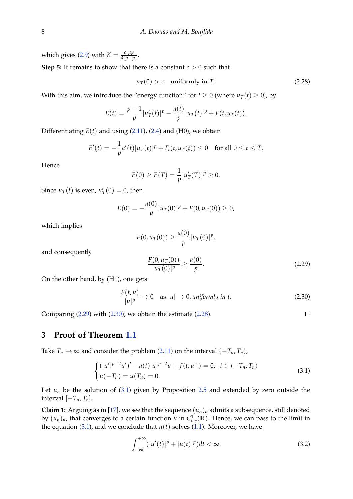which gives [\(2.9\)](#page-3-6) with  $K = \frac{c_1 \mu p}{\hat{a}(n-1)}$  $\frac{c_1\mu p}{\hat{a}(\mu-p)}$ . **Step 5:** It remains to show that there is a constant *c* > 0 such that

<span id="page-7-2"></span> $u_T(0) > c$  uniformly in *T*. (2.28)

With this aim, we introduce the "energy function" for  $t \ge 0$  (where  $u_T(t) \ge 0$ ), by

$$
E(t) = \frac{p-1}{p} |u'_T(t)|^p - \frac{a(t)}{p} |u_T(t)|^p + F(t, u_T(t)).
$$

Differentiating  $E(t)$  and using  $(2.11)$ ,  $(2.4)$  and  $(H0)$ , we obtain

$$
E'(t) = -\frac{1}{p}a'(t)|u_T(t)|^p + F_t(t, u_T(t)) \le 0 \text{ for all } 0 \le t \le T.
$$

Hence

$$
E(0) \ge E(T) = \frac{1}{p} |u'_T(T)|^p \ge 0.
$$

Since  $u_T(t)$  is even,  $u'_T(0) = 0$ , then

$$
E(0) = -\frac{a(0)}{p} |u_T(0)|^p + F(0, u_T(0)) \ge 0,
$$

which implies

$$
F(0, u_T(0)) \geq \frac{a(0)}{p} |u_T(0)|^p,
$$

and consequently

<span id="page-7-0"></span>
$$
\frac{F(0, u_T(0))}{|u_T(0)|^p} \ge \frac{a(0)}{p}.\tag{2.29}
$$

 $\Box$ 

On the other hand, by (H1), one gets

<span id="page-7-1"></span>
$$
\frac{F(t, u)}{|u|^p} \to 0 \quad \text{as } |u| \to 0, \text{ uniformly in } t. \tag{2.30}
$$

Comparing [\(2.29\)](#page-7-0) with [\(2.30\)](#page-7-1), we obtain the estimate [\(2.28\)](#page-7-2).

#### **3 Proof of Theorem [1.1](#page-1-2)**

Take *T*<sup>*n*</sup> → ∞ and consider the problem [\(2.11\)](#page-4-0) on the interval  $(-T_n, T_n)$ ,

<span id="page-7-3"></span>
$$
\begin{cases} (|u'|^{p-2}u')' - a(t)|u|^{p-2}u + f(t,u^+) = 0, & t \in (-T_n, T_n) \\ u(-T_n) = u(T_n) = 0. \end{cases}
$$
\n(3.1)

Let  $u_n$  be the solution of [\(3.1\)](#page-7-3) given by Proposition [2.5](#page-3-7) and extended by zero outside the interval  $[-T_n, T_n]$ .

**Claim 1:** Arguing as in [\[17\]](#page-11-0), we see that the sequence  $(u_n)_n$  admits a subsequence, still denoted by  $(u_n)_n$ , that converges to a certain function  $u$  in  $C^1_{loc}(\mathbb{R})$ . Hence, we can pass to the limit in the equation [\(3.1\)](#page-7-3), and we conclude that  $u(t)$  solves [\(1.1\)](#page-0-1). Moreover, we have

<span id="page-7-4"></span>
$$
\int_{-\infty}^{+\infty} (|u'(t)|^p + |u(t)|^p) dt < \infty.
$$
 (3.2)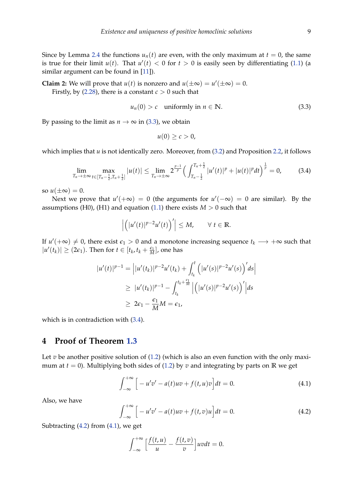Since by Lemma [2.4](#page-3-5) the functions  $u_n(t)$  are even, with the only maximum at  $t = 0$ , the same is true for their limit  $u(t)$ . That  $u'(t) < 0$  for  $t > 0$  is easily seen by differentiating [\(1.1\)](#page-0-1) (a similar argument can be found in [\[11\]](#page-10-8)).

**Claim 2:** We will prove that *u*(*t*) is nonzero and  $u(\pm\infty) = u'(\pm\infty) = 0$ . Firstly, by [\(2.28\)](#page-7-2), there is a constant  $c > 0$  such that

<span id="page-8-0"></span>
$$
u_n(0) > c \quad \text{uniformly in } n \in \mathbb{N}.\tag{3.3}
$$

By passing to the limit as  $n \to \infty$  in [\(3.3\)](#page-8-0), we obtain

$$
u(0)\geq c>0,
$$

which implies that *u* is not identically zero. Moreover, from  $(3.2)$  and Proposition [2.2,](#page-3-8) it follows

<span id="page-8-1"></span>
$$
\lim_{T_n \to \pm \infty} \max_{t \in [T_n - \frac{1}{2}, T_n + \frac{1}{2}]} |u(t)| \leq \lim_{T_n \to \pm \infty} 2^{\frac{p-1}{p}} \Big( \int_{T_n - \frac{1}{2}}^{T_n + \frac{1}{2}} |u'(t)|^p + |u(t)|^p dt \Big)^{\frac{1}{p}} = 0,
$$
 (3.4)

so  $u(\pm\infty) = 0$ .

Next we prove that  $u'(+\infty) = 0$  (the arguments for  $u'(-\infty) = 0$  are similar). By the assumptions (H0), (H1) and equation [\(1.1\)](#page-0-1) there exists  $M > 0$  such that

$$
\left| \left( |u'(t)|^{p-2} u'(t) \right)' \right| \leq M, \quad \forall \ t \in \mathbb{R}.
$$

If  $u'(+\infty) \neq 0$ , there exist  $\epsilon_1 > 0$  and a monotone increasing sequence  $t_k \longrightarrow +\infty$  such that  $|u'(t_k)| \geq (2\epsilon_1)$ . Then for  $t \in [t_k, t_k + \frac{\epsilon_1}{M}]$ , one has

$$
|u'(t)|^{p-1} = |u'(t_k)|^{p-2}u'(t_k) + \int_{t_k}^t (|u'(s)|^{p-2}u'(s))^{'}ds|
$$
  
\n
$$
\geq |u'(t_k)|^{p-1} - \int_{t_k}^{t_k + \frac{\epsilon_1}{M}} |(|u'(s)|^{p-2}u'(s))^{'}|ds
$$
  
\n
$$
\geq 2\epsilon_1 - \frac{\epsilon_1}{M}M = \epsilon_1,
$$

which is in contradiction with [\(3.4\)](#page-8-1).

#### **4 Proof of Theorem [1.3](#page-2-1)**

Let  $v$  be another positive solution of  $(1.2)$  (which is also an even function with the only maximum at  $t = 0$ ). Multiplying both sides of [\(1.2\)](#page-0-2) by *v* and integrating by parts on **R** we get

<span id="page-8-3"></span>
$$
\int_{-\infty}^{+\infty} \left[ -u'v' - a(t)uv + f(t, u)v \right] dt = 0.
$$
 (4.1)

Also, we have

<span id="page-8-2"></span>
$$
\int_{-\infty}^{+\infty} \left[ -u'v' - a(t)uv + f(t,v)u \right] dt = 0.
$$
 (4.2)

Subtracting  $(4.2)$  from  $(4.1)$ , we get

$$
\int_{-\infty}^{+\infty} \left[ \frac{f(t, u)}{u} - \frac{f(t, v)}{v} \right] uv dt = 0.
$$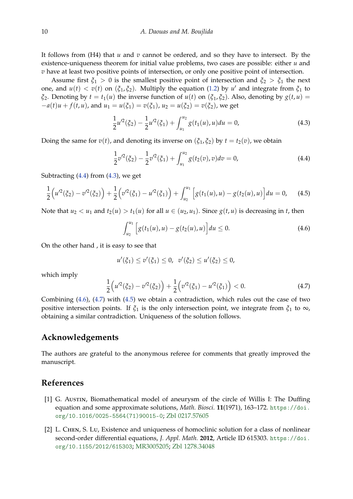It follows from (H4) that *u* and *v* cannot be ordered, and so they have to intersect. By the existence-uniqueness theorem for initial value problems, two cases are possible: either *u* and *v* have at least two positive points of intersection, or only one positive point of intersection.

Assume first  $\xi_1 > 0$  is the smallest positive point of intersection and  $\xi_2 > \xi_1$  the next one, and  $u(t) < v(t)$  on  $(\xi_1, \xi_2)$ . Multiply the equation [\(1.2\)](#page-0-2) by  $u'$  and integrate from  $\xi_1$  to *ξ*<sub>2</sub>. Denoting by  $t = t_1(u)$  the inverse function of  $u(t)$  on  $(\xi_1, \xi_2)$ . Also, denoting by  $g(t, u)$  =  $-a(t)u + f(t, u)$ , and  $u_1 = u(\xi_1) = v(\xi_1)$ ,  $u_2 = u(\xi_2) = v(\xi_2)$ , we get

<span id="page-9-3"></span>
$$
\frac{1}{2}u^2(\xi_2) - \frac{1}{2}u^2(\xi_1) + \int_{u_1}^{u_2} g(t_1(u), u) du = 0,
$$
\n(4.3)

Doing the same for  $v(t)$ , and denoting its inverse on  $(\xi_1, \xi_2)$  by  $t = t_2(v)$ , we obtain

<span id="page-9-2"></span>
$$
\frac{1}{2}v^2(\xi_2) - \frac{1}{2}v^2(\xi_1) + \int_{u_1}^{u_2} g(t_2(v), v) dv = 0,
$$
\n(4.4)

Subtracting  $(4.4)$  from  $(4.3)$ , we get

<span id="page-9-6"></span>
$$
\frac{1}{2}\left(u^2(\xi_2)-v^2(\xi_2)\right)+\frac{1}{2}\left(v^2(\xi_1)-u^2(\xi_1)\right)+\int_{u_2}^{u_1}\left[g(t_1(u),u)-g(t_2(u),u)\right]du=0,\quad (4.5)
$$

Note that  $u_2 < u_1$  and  $t_2(u) > t_1(u)$  for all  $u \in (u_2, u_1)$ . Since  $g(t, u)$  is decreasing in *t*, then

<span id="page-9-4"></span>
$$
\int_{u_2}^{u_1} \left[ g(t_1(u), u) - g(t_2(u), u) \right] du \le 0.
$$
 (4.6)

On the other hand , it is easy to see that

$$
u'(\xi_1) \le v'(\xi_1) \le 0, \ \ v'(\xi_2) \le u'(\xi_2) \le 0,
$$

which imply

<span id="page-9-5"></span>
$$
\frac{1}{2}\left(u^2(\xi_2)-v^2(\xi_2)\right)+\frac{1}{2}\left(v^2(\xi_1)-u^2(\xi_1)\right)<0.\tag{4.7}
$$

Combining [\(4.6\)](#page-9-4), [\(4.7\)](#page-9-5) with [\(4.5\)](#page-9-6) we obtain a contradiction, which rules out the case of two positive intersection points. If  $\xi_1$  is the only intersection point, we integrate from  $\xi_1$  to  $\infty$ , obtaining a similar contradiction. Uniqueness of the solution follows.

### **Acknowledgements**

The authors are grateful to the anonymous referee for comments that greatly improved the manuscript.

#### **References**

- <span id="page-9-0"></span>[1] G. Austin, Biomathematical model of aneurysm of the circle of Willis I: The Duffing equation and some approximate solutions, *Math. Biosci.* **11**(1971), 163–172. [https://doi.](https://doi.org/10.1016/0025-5564(71)90015-0) [org/10.1016/0025-5564\(71\)90015-0](https://doi.org/10.1016/0025-5564(71)90015-0); [Zbl 0217.57605](https://zbmath.org/?q=an:0217.57605)
- <span id="page-9-1"></span>[2] L. Chen, S. Lu, Existence and uniqueness of homoclinic solution for a class of nonlinear second-order differential equations, *J. Appl. Math.* **2012**, Article ID 615303. [https://doi.](https://doi.org/ 10.1155/2012/615303) [org/10.1155/2012/615303](https://doi.org/ 10.1155/2012/615303); [MR3005205;](https://www.ams.org/mathscinet-getitem?mr=3005205) [Zbl 1278.34048](https://zbmath.org/?q=an:1278.34048)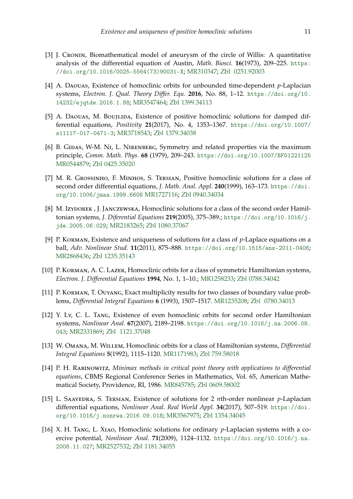- <span id="page-10-2"></span>[3] J. Cronin, Biomathematical model of aneurysm of the circle of Willis: A quantitative analysis of the differential equation of Austin, *Math. Biosci.* **16**(1973), 209–225. [https:](https://doi.org/10.1016/0025-5564(73)90031-X) [//doi.org/10.1016/0025-5564\(73\)90031-X](https://doi.org/10.1016/0025-5564(73)90031-X); [MR310347;](https://www.ams.org/mathscinet-getitem?mr=310347) [Zbl 0251.92003](https://zbmath.org/?q=an: 0251.92003)
- <span id="page-10-3"></span>[4] A. Daouas, Existence of homoclinic orbits for unbounded time-dependent *p*-Laplacian systems, *Electron. J. Qual. Theory Differ. Equ.* **2016**, No. 88, 1–12. [https://doi.org/10.](https://doi.org/10.14232/ejqtde.2016.1.88) [14232/ejqtde.2016.1.88](https://doi.org/10.14232/ejqtde.2016.1.88); [MR3547464;](https://www.ams.org/mathscinet-getitem?mr=3547464) [Zbl 1399.34113](https://zbmath.org/?q=an:1399.34113)
- <span id="page-10-9"></span>[5] A. DAOUAS, M. BOUJLIDA, Existence of positive homoclinic solutions for damped differential equations, *Positivity* **21**(2017), No. 4, 1353–1367. [https://doi.org/10.1007/](https://doi.org/10.1007/s11117-017-0471-3) [s11117-017-0471-3](https://doi.org/10.1007/s11117-017-0471-3); [MR3718543;](https://www.ams.org/mathscinet-getitem?mr=3718543) [Zbl 1379.34038](https://zbmath.org/?q=an:1379.34038)
- [6] B. GIDAS, W-M. NI, L. NIRENBERG, Symmetry and related properties via the maximum principle, *Comm. Math. Phys.* **68** (1979), 209–243. <https://doi.org/10.1007/BF01221125> [MR0544879;](https://www.ams.org/mathscinet-getitem?mr=0544879) [Zbl 0425.35020](https://zbmath.org/?q=an:0425.35020)
- <span id="page-10-0"></span>[7] M. R. GROSSINHO, F. MINHOS, S. TERSIAN, Positive homoclinic solutions for a class of second order differential equations, *J. Math. Anal. Appl.* **240**(1999), 163–173. [https://doi.](https://doi.org/10.1006/jmaa.1999.6606) [org/10.1006/jmaa.1999.6606](https://doi.org/10.1006/jmaa.1999.6606) [MR1727116;](https://www.ams.org/mathscinet-getitem?mr=1727116) [Zbl 0940.34034](https://zbmath.org/?q=an:0940.34034)
- [8] M. Izydorek, J. Janczewska, Homoclinic solutions for a class of the second order Hamiltonian systems, *J. Diferential Equations* **219**(2005), 375–389.; [https://doi.org/10.1016/j.](https://doi.org/10.1016/j.jde.2005.06.029) [jde.2005.06.029](https://doi.org/10.1016/j.jde.2005.06.029); [MR2183265;](https://www.ams.org/mathscinet-getitem?mr=2183265) [Zbl 1080.37067](https://zbmath.org/?q=an:1080.37067)
- <span id="page-10-4"></span>[9] P. Korman, Existence and uniqueness of solutions for a class of *p*-Laplace equations on a ball, *Adv. Nonlinear Stud.* **11**(2011), 875–888. <https://doi.org/10.1515/ans-2011-0406>; [MR2868436;](https://www.ams.org/mathscinet-getitem?mr=2868436) [Zbl 1235.35143](https://zbmath.org/?q=an:1235.35143)
- <span id="page-10-1"></span>[10] P. KORMAN, A. C. LAZER, Homoclinic orbits for a class of symmetric Hamiltonian systems, *Electron. J. Differential Equations* **1994**, No. 1, 1–10.; [MR1258233;](https://www.ams.org/mathscinet-getitem?mr=1258233) [Zbl 0788.34042](https://zbmath.org/?q=an:0788.34042)
- <span id="page-10-8"></span>[11] P. Korman, T. Ouyang, Exact multiplicity results for two classes of boundary value problems, *Differential Integral Equations* **6** (1993), 1507–1517. [MR1235208;](https://www.ams.org/mathscinet-getitem?mr=1235208) [Zbl 0780.34013](https://zbmath.org/?q=an: 0780.34013)
- <span id="page-10-5"></span>[12] Y. Lv, C. L. Tang, Existence of even homoclinic orbits for second order Hamiltonian systems, *Nonlinear Anal.* **67**(2007), 2189–2198. [https://doi.org/10.1016/j.na.2006.08.](https://doi.org/10.1016/j.na.2006.08.043) [043](https://doi.org/10.1016/j.na.2006.08.043); [MR2331869;](https://www.ams.org/mathscinet-getitem?mr=2331869) [Zbl 1121.37048](https://zbmath.org/?q=an: 1121.37048)
- [13] W. Omana, M. Willem, Homoclinic orbits for a class of Hamiltonian systems, *Differential Integral Equations* **5**(1992), 1115–1120. [MR1171983;](https://www.ams.org/mathscinet-getitem?mr=1171983) [Zbl 759.58018](https://zbmath.org/?q=an:759.58018)
- <span id="page-10-7"></span>[14] P. H. Rabinowitz, *Minimax methods in critical point theory with applications to differential equations*, CBMS Regional Conference Series in Mathematics, Vol. 65, American Mathematical Society, Providence, RI, 1986. [MR845785;](https://www.ams.org/mathscinet-getitem?mr=845785) [Zbl 0609.58002](https://zbmath.org/?q=an:0609.58002)
- <span id="page-10-10"></span>[15] L. SAAVEDRA, S. TERSIAN, Existence of solutions for 2 *n*th-order nonlinear *p*-Laplacian differential equations, *Nonlinear Anal. Real World Appl.* **34**(2017), 507–519. [https://doi.](https://doi.org/10.1016/j.nonrwa.2016.09.018) [org/10.1016/j.nonrwa.2016.09.018](https://doi.org/10.1016/j.nonrwa.2016.09.018); [MR3567975;](https://www.ams.org/mathscinet-getitem?mr=3567975) [Zbl 1354.34045](https://zbmath.org/?q=an:1354.34045)
- <span id="page-10-6"></span>[16] X. H. Tang, L. Xiao, Homoclinic solutions for ordinary *p*-Laplacian systems with a coercive potential, *Nonlinear Anal.* **71**(2009), 1124–1132. [https://doi.org/10.1016/j.na.](https://doi.org/10.1016/j.na.2008.11.027) [2008.11.027](https://doi.org/10.1016/j.na.2008.11.027); [MR2527532;](https://www.ams.org/mathscinet-getitem?mr=2527532) [Zbl 1181.34055](https://zbmath.org/?q=an:1181.34055)